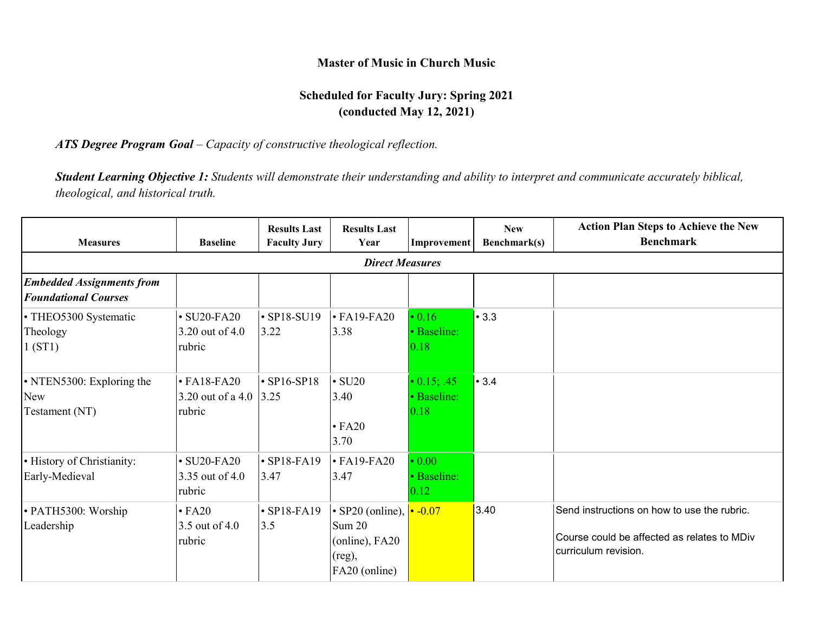#### **Master of Music in Church Music**

# **Scheduled for Faculty Jury: Spring 2021 (conducted May 12, 2021)**

### *ATS Degree Program Goal – Capacity of constructive theological reflection.*

*Student Learning Objective 1: Students will demonstrate their understanding and ability to interpret and communicate accurately biblical, theological, and historical truth.*

| <b>Measures</b>                                                 | <b>Baseline</b>                                          | <b>Results Last</b><br><b>Faculty Jury</b> | <b>Results Last</b><br>Year                                                                 | Improvement                                       | <b>New</b><br>Benchmark(s) | <b>Action Plan Steps to Achieve the New</b><br><b>Benchmark</b>                                                    |  |  |  |
|-----------------------------------------------------------------|----------------------------------------------------------|--------------------------------------------|---------------------------------------------------------------------------------------------|---------------------------------------------------|----------------------------|--------------------------------------------------------------------------------------------------------------------|--|--|--|
|                                                                 | <b>Direct Measures</b>                                   |                                            |                                                                                             |                                                   |                            |                                                                                                                    |  |  |  |
| <b>Embedded Assignments from</b><br><b>Foundational Courses</b> |                                                          |                                            |                                                                                             |                                                   |                            |                                                                                                                    |  |  |  |
| • THEO5300 Systematic<br>Theology<br>1(ST1)                     | $\cdot$ SU20-FA20<br>3.20 out of 4.0<br>rubric           | $\cdot$ SP18-SU19<br>3.22                  | $\cdot$ FA19-FA20<br>3.38                                                                   | $\cdot$ 0.16<br>• Baseline:<br>0.18               | •3.3                       |                                                                                                                    |  |  |  |
| • NTEN5300: Exploring the<br><b>New</b><br>Testament (NT)       | $\cdot$ FA18-FA20<br>3.20 out of a 4.0 $ 3.25$<br>rubric | $\cdot$ SP16-SP18                          | $\cdot$ SU20<br>3.40<br>$\cdot$ FA20<br>3.70                                                | $\cdot$ 0.15; .45<br>· Baseline:<br>0.18          | • 3.4                      |                                                                                                                    |  |  |  |
| · History of Christianity:<br>Early-Medieval                    | $\cdot$ SU20-FA20<br>3.35 out of 4.0<br>rubric           | $\cdot$ SP18-FA19<br>3.47                  | $\cdot$ FA19-FA20<br>3.47                                                                   | $\cdot$ 0.00<br>· Baseline:<br>$\vert 0.12 \vert$ |                            |                                                                                                                    |  |  |  |
| • PATH5300: Worship<br>Leadership                               | $\cdot$ FA20<br>3.5 out of 4.0<br>rubric                 | $\cdot$ SP18-FA19<br>3.5                   | $\cdot$ SP20 (online), $\cdot$ -0.07<br>Sum 20<br>(online), FA20<br>(reg),<br>FA20 (online) |                                                   | 3.40                       | Send instructions on how to use the rubric.<br>Course could be affected as relates to MDiv<br>curriculum revision. |  |  |  |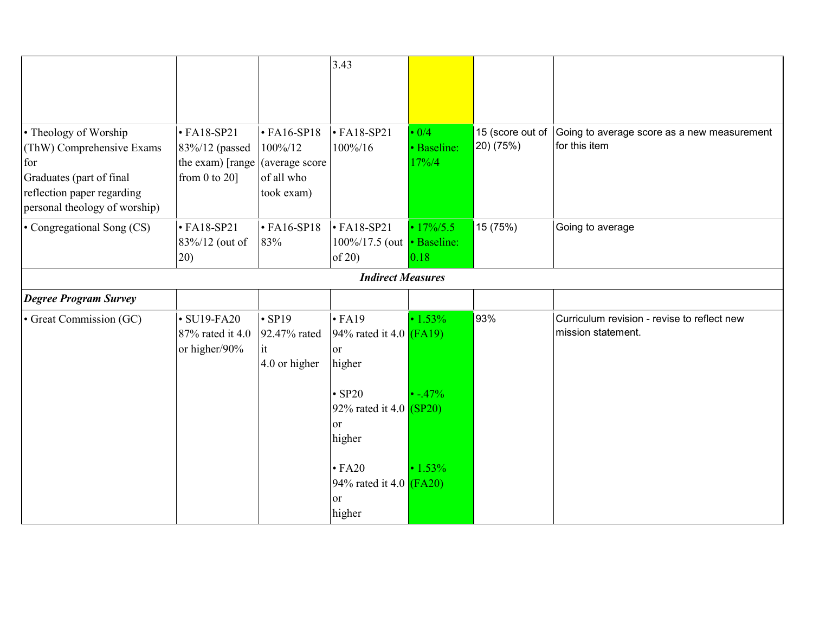|                                                                                       |                                                                               |                                                              | 3.43                                                                 |                                        |                               |                                                                   |
|---------------------------------------------------------------------------------------|-------------------------------------------------------------------------------|--------------------------------------------------------------|----------------------------------------------------------------------|----------------------------------------|-------------------------------|-------------------------------------------------------------------|
|                                                                                       |                                                                               |                                                              |                                                                      |                                        |                               |                                                                   |
| • Theology of Worship<br>(ThW) Comprehensive Exams<br>for<br>Graduates (part of final | $\cdot$ FA18-SP21<br>83%/12 (passed<br>the exam) [range<br>from $0$ to $20$ ] | $\cdot$ FA16-SP18<br>100%/12<br>(average score<br>of all who | $\cdot$ FA18-SP21<br>100%/16                                         | $\cdot$ 0/4<br>· Baseline:<br>$17\%/4$ | 15 (score out of<br>20) (75%) | Going to average score as a new measurement<br>for this item      |
| reflection paper regarding<br>personal theology of worship)                           |                                                                               | took exam)                                                   |                                                                      |                                        |                               |                                                                   |
| • Congregational Song (CS)                                                            | $\cdot$ FA18-SP21<br>83%/12 (out of<br>20)                                    | $\cdot$ FA16-SP18<br>83%                                     | $\cdot$ FA18-SP21<br>100%/17.5 (out   Baseline:<br>of $20$ )         | $\cdot$ 17%/5.5<br>0.18                | 15 (75%)                      | Going to average                                                  |
|                                                                                       |                                                                               |                                                              | <b>Indirect Measures</b>                                             |                                        |                               |                                                                   |
| <b>Degree Program Survey</b>                                                          |                                                                               |                                                              |                                                                      |                                        |                               |                                                                   |
| • Great Commission (GC)                                                               | $\cdot$ SU19-FA20<br>87% rated it 4.0<br>or higher/90%                        | $\cdot$ SP19<br>92.47% rated<br>it<br>4.0 or higher          | $\cdot$ FA19<br>94% rated it 4.0 $(FA19)$<br><sub>or</sub><br>higher | $\cdot 1.53\%$                         | 93%                           | Curriculum revision - revise to reflect new<br>mission statement. |
|                                                                                       |                                                                               |                                                              | $\cdot$ SP20<br>92% rated it 4.0 $(SP20)$<br>or<br>higher            | $\cdot$ -.47%                          |                               |                                                                   |
|                                                                                       |                                                                               |                                                              | $\cdot$ FA20<br>94% rated it 4.0 $(FA20)$<br>or<br>higher            | $\cdot 1.53\%$                         |                               |                                                                   |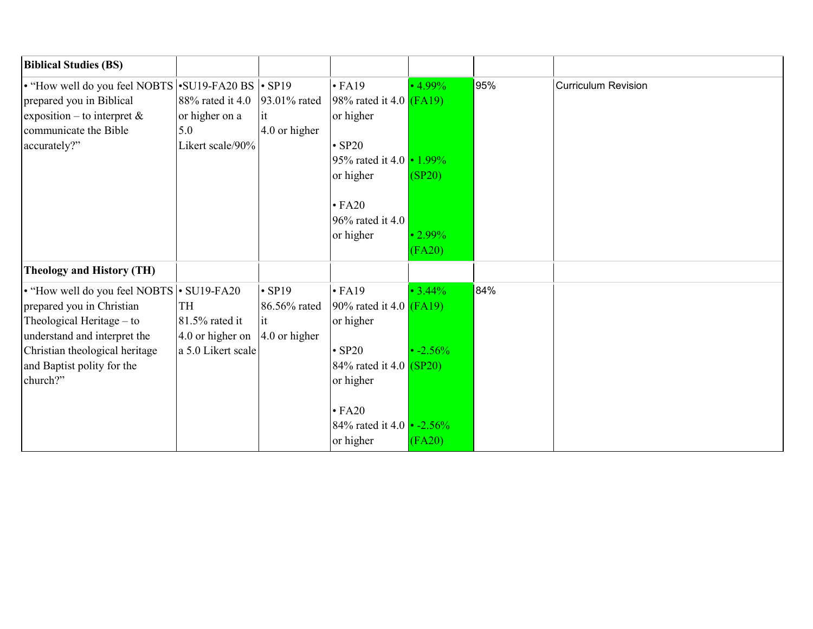| <b>Biblical Studies (BS)</b>                                                                                                                               |                                                                  |                                     |                                                                                                          |                                    |     |                            |
|------------------------------------------------------------------------------------------------------------------------------------------------------------|------------------------------------------------------------------|-------------------------------------|----------------------------------------------------------------------------------------------------------|------------------------------------|-----|----------------------------|
| • "How well do you feel NOBTS • SU19-FA20 BS • SP19<br>prepared you in Biblical<br>exposition – to interpret $\&$<br>communicate the Bible<br>accurately?" | 88% rated it 4.0<br>or higher on a<br>5.0<br>Likert scale/90%    | 93.01% rated<br>it<br>4.0 or higher | $\cdot$ FA19<br>98% rated it 4.0 $(FA19)$<br>or higher<br>$\cdot$ SP20<br>95% rated it 4.0 $\cdot$ 1.99% | $\cdot$ 4.99%                      | 95% | <b>Curriculum Revision</b> |
|                                                                                                                                                            |                                                                  |                                     | or higher<br>$\cdot$ FA20<br>96% rated it 4.0<br>or higher                                               | (SP20)<br>$\cdot 2.99\%$<br>(FA20) |     |                            |
| <b>Theology and History (TH)</b>                                                                                                                           |                                                                  |                                     |                                                                                                          |                                    |     |                            |
| • "How well do you feel NOBTS • SU19-FA20<br>prepared you in Christian<br>Theological Heritage - to<br>understand and interpret the                        | <b>TH</b><br>81.5% rated it<br>4.0 or higher on $ 4.0$ or higher | $\cdot$ SP19<br>86.56% rated<br>lit | $\cdot$ FA19<br>90% rated it 4.0 $(FA19)$<br>or higher                                                   | $\cdot$ 3.44%                      | 84% |                            |
| Christian theological heritage<br>and Baptist polity for the<br>church?"                                                                                   | a 5.0 Likert scale                                               |                                     | $\cdot$ SP20<br>84\% rated it 4.0 $(SP20)$<br>or higher<br>$\cdot$ FA20                                  | $\cdot$ -2.56%                     |     |                            |
|                                                                                                                                                            |                                                                  |                                     | 84% rated it 4.0 $\cdot$ -2.56%<br>or higher                                                             | (FA20)                             |     |                            |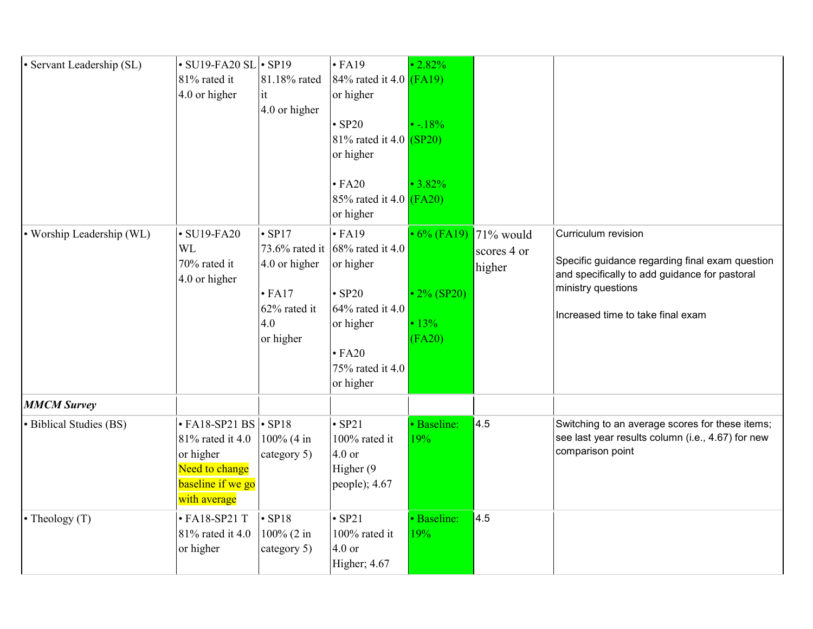| · Servant Leadership (SL) | $\cdot$ SU19-FA20 SL $\cdot$ SP19<br>81% rated it<br>4.0 or higher                                                        | 81.18% rated<br>it<br>4.0 or higher                                                  | $\cdot$ FA19<br>84% rated it 4.0 $(FA19)$<br>or higher<br>$\cdot$ SP20<br>81\% rated it 4.0 $(SP20)$<br>or higher<br>$\cdot$ FA20<br>85% rated it 4.0 $(FA20)$<br>or higher    | $\cdot 2.82\%$<br>$\cdot$ -.18%<br>$\cdot$ 3.82%                    |                       |                                                                                                                                                                                    |
|---------------------------|---------------------------------------------------------------------------------------------------------------------------|--------------------------------------------------------------------------------------|--------------------------------------------------------------------------------------------------------------------------------------------------------------------------------|---------------------------------------------------------------------|-----------------------|------------------------------------------------------------------------------------------------------------------------------------------------------------------------------------|
| • Worship Leadership (WL) | $\cdot$ SU19-FA20<br><b>WL</b><br>70% rated it<br>4.0 or higher                                                           | $\cdot$ SP17<br>4.0 or higher<br>$\cdot$ FA17<br>$62\%$ rated it<br>4.0<br>or higher | $\cdot$ FA19<br>73.6% rated it $ 68\% \text{ rated it } 4.0$<br>or higher<br>$\cdot$ SP20<br>$64\%$ rated it 4.0<br>or higher<br>$\cdot$ FA20<br>75% rated it 4.0<br>or higher | $\cdot$ 6% (FA19) 71% would<br>$\cdot$ 2% (SP20)<br>• 13%<br>(FA20) | scores 4 or<br>higher | Curriculum revision<br>Specific guidance regarding final exam question<br>and specifically to add guidance for pastoral<br>ministry questions<br>Increased time to take final exam |
| <b>MMCM Survey</b>        |                                                                                                                           |                                                                                      |                                                                                                                                                                                |                                                                     |                       |                                                                                                                                                                                    |
| · Biblical Studies (BS)   | $\cdot$ FA18-SP21 BS $\cdot$ SP18<br>81% rated it 4.0<br>or higher<br>Need to change<br>baseline if we go<br>with average | 100% (4 in<br>category 5)                                                            | $\cdot$ SP21<br>100% rated it<br>$4.0$ or<br>Higher (9<br>people); $4.67$                                                                                                      | · Baseline:<br>19%                                                  | 4.5                   | Switching to an average scores for these items;<br>see last year results column (i.e., 4.67) for new<br>comparison point                                                           |
| $\cdot$ Theology (T)      | $\cdot$ FA18-SP21 T<br>81% rated it 4.0<br>or higher                                                                      | $\cdot$ SP18<br>100% (2 in<br>category 5)                                            | $\cdot$ SP21<br>100% rated it<br>$4.0$ or<br>Higher; 4.67                                                                                                                      | · Baseline:<br>19%                                                  | 4.5                   |                                                                                                                                                                                    |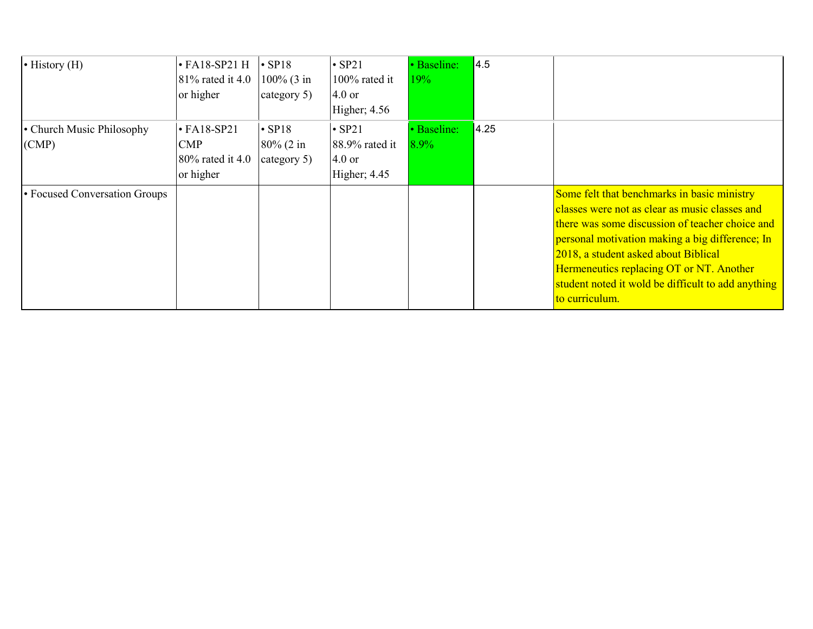| $\bullet$ History (H)              | $\cdot$ FA18-SP21 H<br>$81\%$ rated it 4.0<br>or higher          | $\cdot$ SP18<br>$100\%$ (3 in<br>category 5) | $\cdot$ SP21<br>100% rated it<br>$4.0$ or<br>Higher; 4.56              | • Baseline:<br>19%     | 4.5  |                                                                                                                                                                                                                                                                                                                                                                 |
|------------------------------------|------------------------------------------------------------------|----------------------------------------------|------------------------------------------------------------------------|------------------------|------|-----------------------------------------------------------------------------------------------------------------------------------------------------------------------------------------------------------------------------------------------------------------------------------------------------------------------------------------------------------------|
| • Church Music Philosophy<br>(CMP) | $\cdot$ FA18-SP21<br><b>CMP</b><br>80% rated it 4.0<br>or higher | $\cdot$ SP18<br>$80\%$ (2 in<br>category 5)  | $\cdot$ SP21<br>$88.9\%$ rated it<br>$4.0 \text{ or }$<br>Higher; 4.45 | • Baseline:<br>$8.9\%$ | 4.25 |                                                                                                                                                                                                                                                                                                                                                                 |
| • Focused Conversation Groups      |                                                                  |                                              |                                                                        |                        |      | Some felt that benchmarks in basic ministry<br>classes were not as clear as music classes and<br>there was some discussion of teacher choice and<br>personal motivation making a big difference; In<br>2018, a student asked about Biblical<br>Hermeneutics replacing OT or NT. Another<br>student noted it wold be difficult to add anything<br>to curriculum. |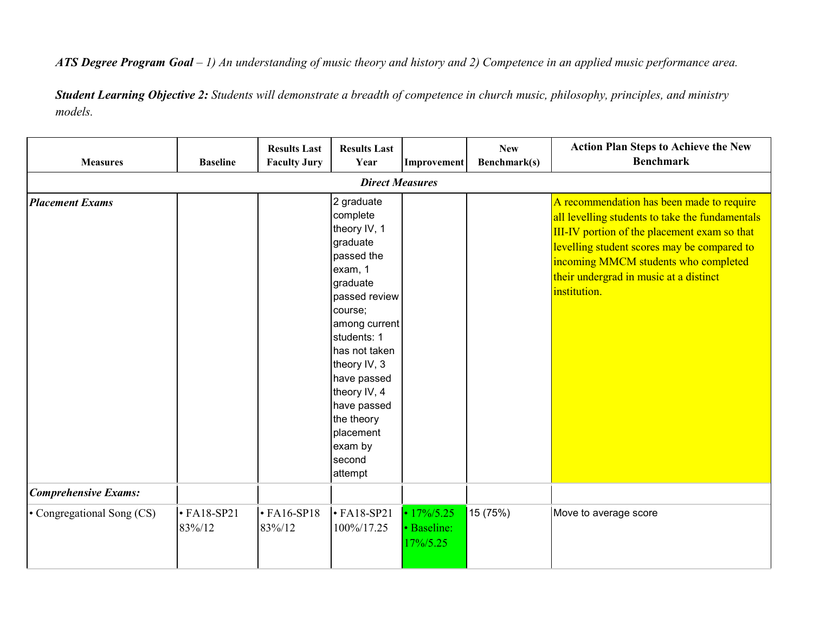*ATS Degree Program Goal – 1) An understanding of music theory and history and 2) Competence in an applied music performance area.*

*Student Learning Objective 2: Students will demonstrate a breadth of competence in church music, philosophy, principles, and ministry models.*

| <b>Measures</b>             | <b>Baseline</b>             | <b>Results Last</b><br><b>Faculty Jury</b> | <b>Results Last</b><br>Year                                                                                                                                                                                                                                                                   | Improvement                                 | <b>New</b><br>Benchmark(s) | <b>Action Plan Steps to Achieve the New</b><br><b>Benchmark</b>                                                                                                                                                                                                                               |  |  |  |
|-----------------------------|-----------------------------|--------------------------------------------|-----------------------------------------------------------------------------------------------------------------------------------------------------------------------------------------------------------------------------------------------------------------------------------------------|---------------------------------------------|----------------------------|-----------------------------------------------------------------------------------------------------------------------------------------------------------------------------------------------------------------------------------------------------------------------------------------------|--|--|--|
| <b>Direct Measures</b>      |                             |                                            |                                                                                                                                                                                                                                                                                               |                                             |                            |                                                                                                                                                                                                                                                                                               |  |  |  |
| <b>Placement Exams</b>      |                             |                                            | 2 graduate<br>complete<br>theory IV, 1<br>graduate<br>passed the<br>exam, 1<br>graduate<br>passed review<br>course;<br>among current<br>students: 1<br>has not taken<br>theory IV, 3<br>have passed<br>theory IV, 4<br>have passed<br>the theory<br>placement<br>exam by<br>second<br>attempt |                                             |                            | A recommendation has been made to require<br>all levelling students to take the fundamentals<br>III-IV portion of the placement exam so that<br>levelling student scores may be compared to<br>incoming MMCM students who completed<br>their undergrad in music at a distinct<br>institution. |  |  |  |
| <b>Comprehensive Exams:</b> |                             |                                            |                                                                                                                                                                                                                                                                                               |                                             |                            |                                                                                                                                                                                                                                                                                               |  |  |  |
| • Congregational Song (CS)  | $\cdot$ FA18-SP21<br>83%/12 | $\cdot$ FA16-SP18<br>83%/12                | $\cdot$ FA18-SP21<br>100%/17.25                                                                                                                                                                                                                                                               | $\cdot$ 17%/5.25<br>· Baseline:<br>17%/5.25 | 15 (75%)                   | Move to average score                                                                                                                                                                                                                                                                         |  |  |  |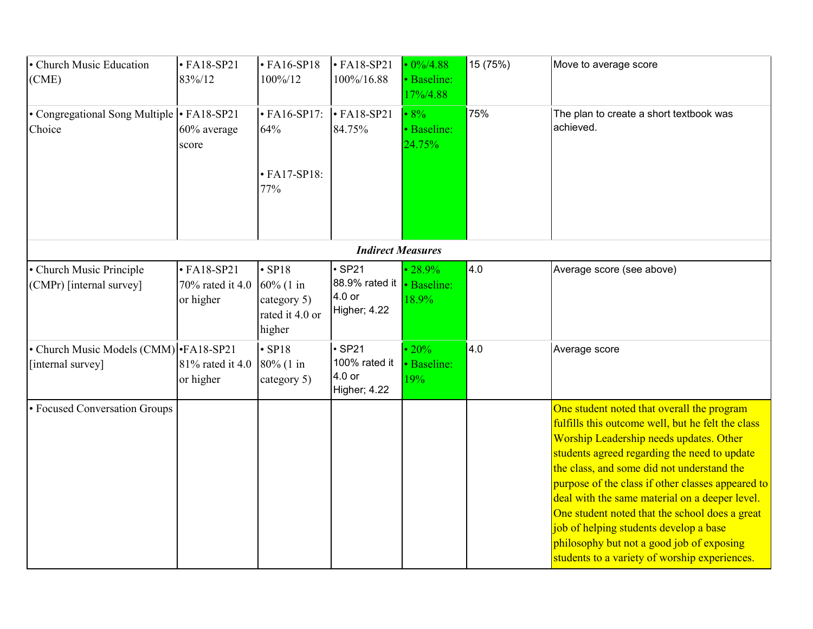| • Church Music Education<br>(CME)                            | $\cdot$ FA18-SP21<br>83%/12                        | $\cdot$ FA16-SP18<br>100%/12                                          | $\cdot$ FA18-SP21<br>100%/16.88                                                     | $\cdot$ 0%/4.88<br>· Baseline:<br>17%/4.88 | 15 (75%) | Move to average score                                                                                                                                                                                                                                                                                                                                                                                                                                                                                                                     |
|--------------------------------------------------------------|----------------------------------------------------|-----------------------------------------------------------------------|-------------------------------------------------------------------------------------|--------------------------------------------|----------|-------------------------------------------------------------------------------------------------------------------------------------------------------------------------------------------------------------------------------------------------------------------------------------------------------------------------------------------------------------------------------------------------------------------------------------------------------------------------------------------------------------------------------------------|
| • Congregational Song Multiple • FA18-SP21<br>Choice         | 60% average<br>score                               | $\cdot$ FA16-SP17:<br>64%<br>$\cdot$ FA17-SP18:<br>77%                | $\cdot$ FA18-SP21<br>84.75%                                                         | $\cdot 8\%$<br>· Baseline:<br>24.75%       | 75%      | The plan to create a short textbook was<br>achieved.                                                                                                                                                                                                                                                                                                                                                                                                                                                                                      |
|                                                              |                                                    |                                                                       | <b>Indirect Measures</b>                                                            |                                            |          |                                                                                                                                                                                                                                                                                                                                                                                                                                                                                                                                           |
| • Church Music Principle<br>(CMPr) [internal survey]         | $\cdot$ FA18-SP21<br>70% rated it 4.0<br>or higher | $\cdot$ SP18<br>60% (1 in<br>category 5)<br>rated it 4.0 or<br>higher | $\cdot$ SP21<br>88.9% rated it <b>·</b> Baseline:<br>4.0 or<br><b>Higher</b> ; 4.22 | $\cdot 28.9\%$<br>18.9%                    | 4.0      | Average score (see above)                                                                                                                                                                                                                                                                                                                                                                                                                                                                                                                 |
| • Church Music Models (CMM) • FA18-SP21<br>[internal survey] | 81% rated it 4.0<br>or higher                      | $\cdot$ SP18<br>80% (1 in<br>category 5)                              | $\cdot$ SP21<br>100% rated it<br>4.0 <sub>or</sub><br><b>Higher; 4.22</b>           | $\cdot 20\%$<br>· Baseline:<br>19%         | 4.0      | Average score                                                                                                                                                                                                                                                                                                                                                                                                                                                                                                                             |
| • Focused Conversation Groups                                |                                                    |                                                                       |                                                                                     |                                            |          | One student noted that overall the program<br>fulfills this outcome well, but he felt the class<br>Worship Leadership needs updates. Other<br>students agreed regarding the need to update<br>the class, and some did not understand the<br>purpose of the class if other classes appeared to<br>deal with the same material on a deeper level.<br>One student noted that the school does a great<br>job of helping students develop a base<br>philosophy but not a good job of exposing<br>students to a variety of worship experiences. |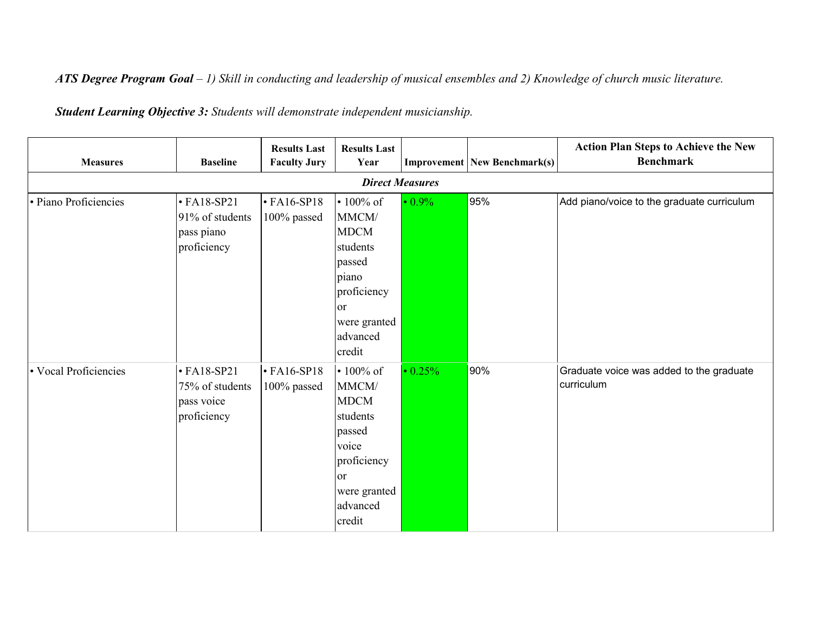*ATS Degree Program Goal – 1) Skill in conducting and leadership of musical ensembles and 2) Knowledge of church music literature.*

*Student Learning Objective 3: Students will demonstrate independent musicianship.*

| <b>Measures</b>       | <b>Baseline</b>                                                   | <b>Results Last</b><br><b>Faculty Jury</b> | <b>Results Last</b><br>Year                                                                                                                  |               | <b>Improvement New Benchmark(s)</b> | <b>Action Plan Steps to Achieve the New</b><br><b>Benchmark</b> |  |  |  |  |
|-----------------------|-------------------------------------------------------------------|--------------------------------------------|----------------------------------------------------------------------------------------------------------------------------------------------|---------------|-------------------------------------|-----------------------------------------------------------------|--|--|--|--|
|                       | <b>Direct Measures</b>                                            |                                            |                                                                                                                                              |               |                                     |                                                                 |  |  |  |  |
| · Piano Proficiencies | $\cdot$ FA18-SP21<br>91% of students<br>pass piano<br>proficiency | $\cdot$ FA16-SP18<br>100% passed           | $\cdot$ 100% of<br>MMCM/<br><b>MDCM</b><br>students<br>passed<br>piano<br>proficiency<br><sub>or</sub><br>were granted<br>advanced<br>credit | $\cdot 0.9\%$ | 95%                                 | Add piano/voice to the graduate curriculum                      |  |  |  |  |
| • Vocal Proficiencies | $\cdot$ FA18-SP21<br>75% of students<br>pass voice<br>proficiency | $\cdot$ FA16-SP18<br>100% passed           | $\cdot 100\%$ of<br>MMCM/<br><b>MDCM</b><br>students<br>passed<br>voice<br>proficiency<br><b>or</b><br>were granted<br>advanced<br>credit    | $\cdot$ 0.25% | 90%                                 | Graduate voice was added to the graduate<br>curriculum          |  |  |  |  |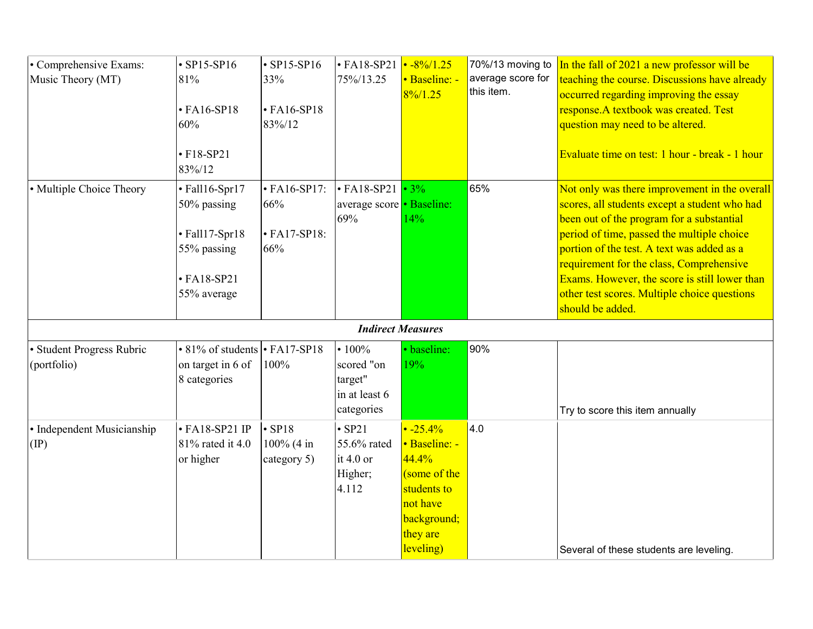| • Comprehensive Exams:<br>Music Theory (MT) | $\cdot$ SP15-SP16<br>81%<br>$\cdot$ FA16-SP18<br>60%<br>$• F18-SP21$<br>83%/12                     | $\cdot$ SP15-SP16<br>33%<br>$\cdot$ FA16-SP18<br>83%/12 | $\cdot$ FA18-SP21<br>75%/13.25                                   | $\cdot$ -8%/1.25<br>• Baseline: -<br>$8\%/1.25$                                                                             | 70%/13 moving to<br>average score for<br>this item. | In the fall of 2021 a new professor will be<br>teaching the course. Discussions have already<br>occurred regarding improving the essay<br>response.A textbook was created. Test<br>question may need to be altered.<br>Evaluate time on test: 1 hour - break - 1 hour                                                                                                                                    |
|---------------------------------------------|----------------------------------------------------------------------------------------------------|---------------------------------------------------------|------------------------------------------------------------------|-----------------------------------------------------------------------------------------------------------------------------|-----------------------------------------------------|----------------------------------------------------------------------------------------------------------------------------------------------------------------------------------------------------------------------------------------------------------------------------------------------------------------------------------------------------------------------------------------------------------|
| • Multiple Choice Theory                    | · Fall16-Spr17<br>50% passing<br>· Fall17-Spr18<br>55% passing<br>$\cdot$ FA18-SP21<br>55% average | $\cdot$ FA16-SP17:<br>66%<br>$\cdot$ FA17-SP18:<br>66%  | $\cdot$ FA18-SP21<br>average score • Baseline:<br>69%            | $\cdot$ 3%<br>14%                                                                                                           | 65%                                                 | Not only was there improvement in the overall<br>scores, all students except a student who had<br>been out of the program for a substantial<br>period of time, passed the multiple choice<br>portion of the test. A text was added as a<br>requirement for the class, Comprehensive<br>Exams. However, the score is still lower than<br>other test scores. Multiple choice questions<br>should be added. |
|                                             |                                                                                                    |                                                         | <b>Indirect Measures</b>                                         |                                                                                                                             |                                                     |                                                                                                                                                                                                                                                                                                                                                                                                          |
| · Student Progress Rubric<br>(portfolio)    | $\cdot$ 81% of students $\cdot$ FA17-SP18<br>on target in 6 of<br>8 categories                     | 100%                                                    | • $100%$<br>scored "on<br>target"<br>in at least 6<br>categories | · baseline:<br>19%                                                                                                          | 90%                                                 | Try to score this item annually                                                                                                                                                                                                                                                                                                                                                                          |
| · Independent Musicianship<br>$(\text{IP})$ | $\cdot$ FA18-SP21 IP<br>81% rated it 4.0<br>or higher                                              | $\cdot$ SP18<br>100% (4 in<br>category 5)               | $\cdot$ SP21<br>55.6% rated<br>it $4.0$ or<br>Higher;<br>4.112   | $\cdot$ -25.4%<br>• Baseline: -<br>44.4%<br>(some of the<br>students to<br>not have<br>background;<br>they are<br>leveling) | 4.0                                                 | Several of these students are leveling.                                                                                                                                                                                                                                                                                                                                                                  |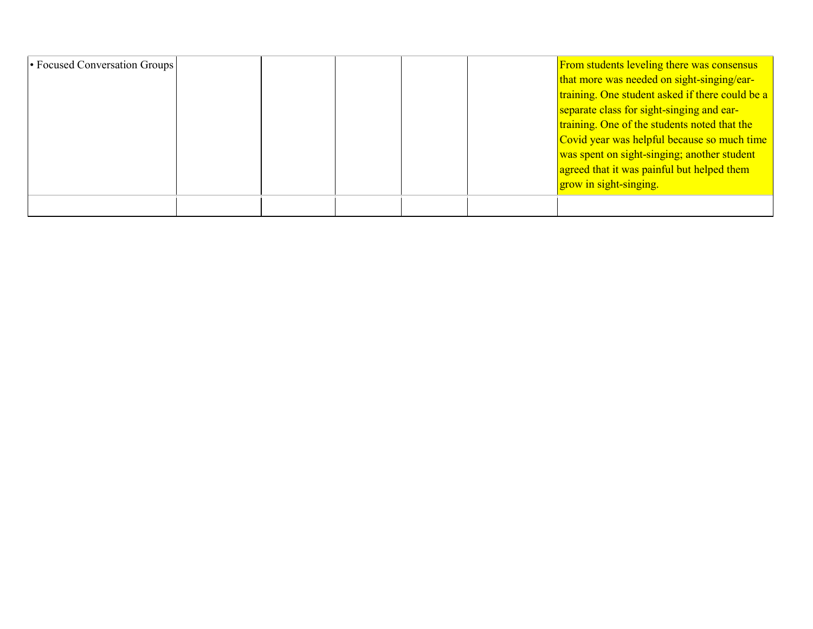| • Focused Conversation Groups |  |  | <b>From students leveling there was consensus</b> |
|-------------------------------|--|--|---------------------------------------------------|
|                               |  |  | that more was needed on sight-singing/ear-        |
|                               |  |  | training. One student asked if there could be a   |
|                               |  |  | separate class for sight-singing and ear-         |
|                               |  |  | training. One of the students noted that the      |
|                               |  |  | Covid year was helpful because so much time       |
|                               |  |  | was spent on sight-singing; another student       |
|                               |  |  | agreed that it was painful but helped them        |
|                               |  |  | grow in sight-singing.                            |
|                               |  |  |                                                   |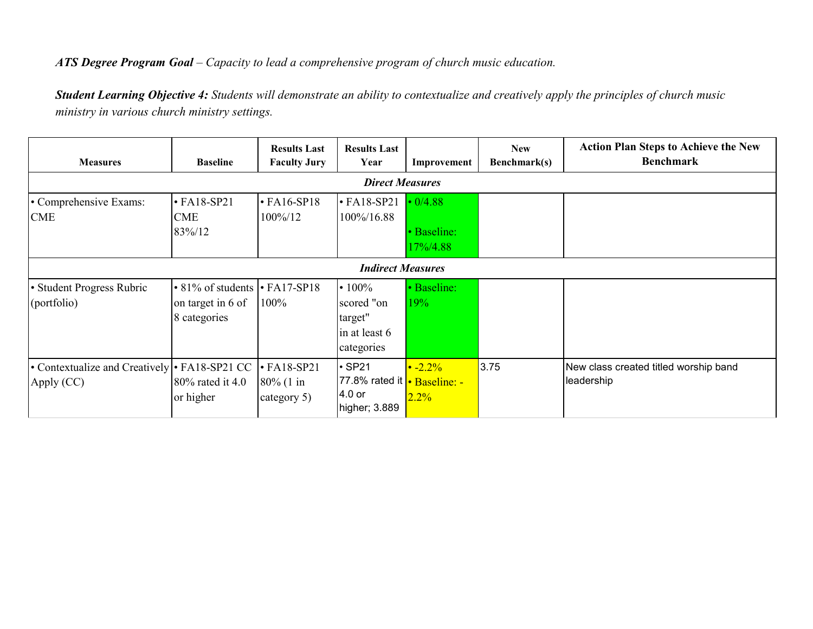## *ATS Degree Program Goal – Capacity to lead a comprehensive program of church music education.*

*Student Learning Objective 4: Students will demonstrate an ability to contextualize and creatively apply the principles of church music ministry in various church ministry settings.*

| <b>Measures</b>                                             | <b>Baseline</b>                                                                | <b>Results Last</b><br><b>Faculty Jury</b>       | <b>Results Last</b><br>Year                                                    | Improvement                               | <b>New</b><br>Benchmark(s) | <b>Action Plan Steps to Achieve the New</b><br><b>Benchmark</b> |  |  |  |  |
|-------------------------------------------------------------|--------------------------------------------------------------------------------|--------------------------------------------------|--------------------------------------------------------------------------------|-------------------------------------------|----------------------------|-----------------------------------------------------------------|--|--|--|--|
|                                                             | <b>Direct Measures</b>                                                         |                                                  |                                                                                |                                           |                            |                                                                 |  |  |  |  |
| • Comprehensive Exams:<br><b>CME</b>                        | $\cdot$ FA18-SP21<br>CME<br>83%/12                                             | $\cdot$ FA16-SP18<br>100%/12                     | $\cdot$ FA18-SP21<br>100%/16.88                                                | $\cdot$ 0/4.88<br>• Baseline:<br>17%/4.88 |                            |                                                                 |  |  |  |  |
|                                                             | <b>Indirect Measures</b>                                                       |                                                  |                                                                                |                                           |                            |                                                                 |  |  |  |  |
| • Student Progress Rubric<br>(portfolio)                    | $\cdot$ 81% of students $\cdot$ FA17-SP18<br>on target in 6 of<br>8 categories | 100%                                             | $\cdot 100\%$<br>scored "on<br>target"<br>in at least 6<br>categories          | • Baseline:<br>19%                        |                            |                                                                 |  |  |  |  |
| • Contextualize and Creatively • FA18-SP21 CC<br>Apply (CC) | 80% rated it 4.0<br>or higher                                                  | $\cdot$ FA18-SP21<br>$80\%$ (1 in<br>category 5) | $\cdot$ SP21<br>77.8% rated it <b>·</b> Baseline: -<br>4.0 or<br>higher; 3.889 | $\cdot$ -2.2%<br>2.2%                     | 3.75                       | New class created titled worship band<br>leadership             |  |  |  |  |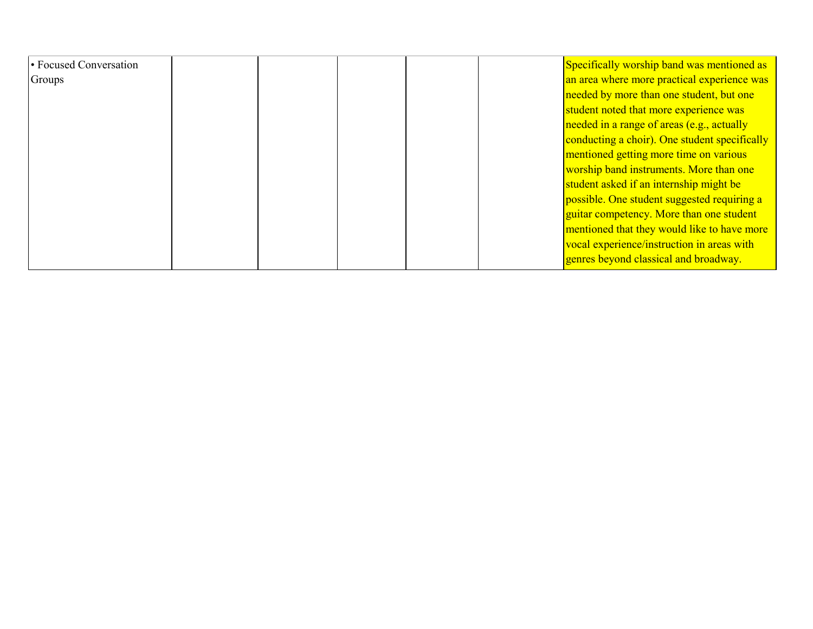| • Focused Conversation |  | Specifically worship band was mentioned as    |
|------------------------|--|-----------------------------------------------|
| Groups                 |  | an area where more practical experience was   |
|                        |  | needed by more than one student, but one      |
|                        |  | student noted that more experience was        |
|                        |  | needed in a range of areas (e.g., actually    |
|                        |  | conducting a choir). One student specifically |
|                        |  | mentioned getting more time on various        |
|                        |  | worship band instruments. More than one       |
|                        |  | student asked if an internship might be       |
|                        |  | possible. One student suggested requiring a   |
|                        |  | guitar competency. More than one student      |
|                        |  | mentioned that they would like to have more   |
|                        |  | vocal experience/instruction in areas with    |
|                        |  | genres beyond classical and broadway.         |